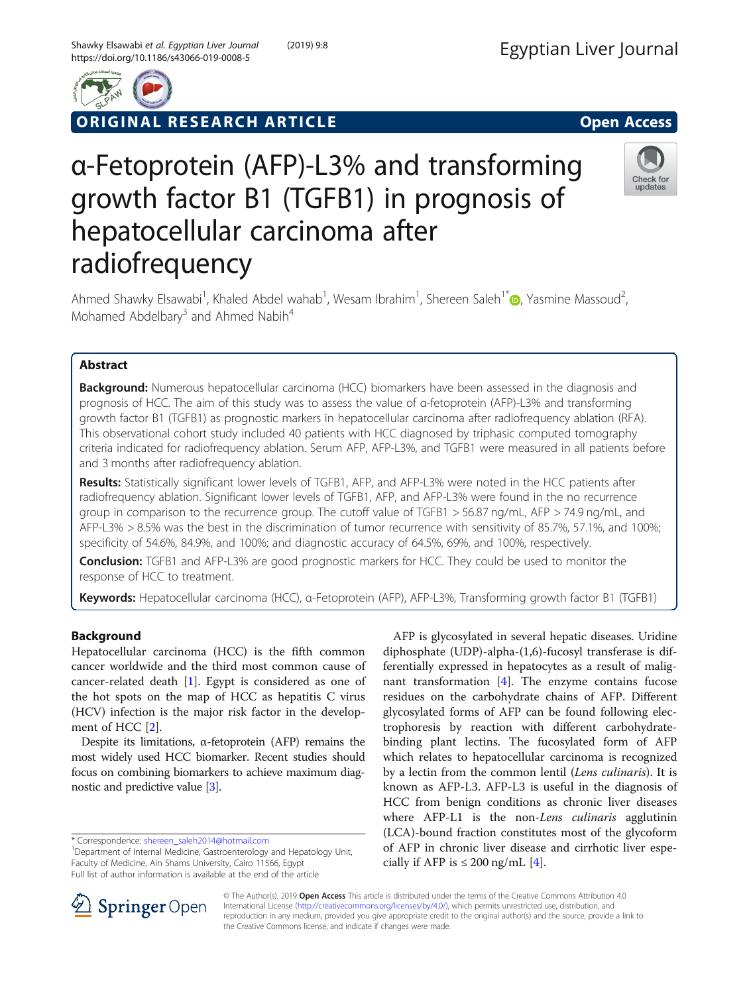

ORIGINAL RESEARCH ARTICLE **External of the Contract Open Access** 

# Check for updates

# α-Fetoprotein (AFP)-L3% and transforming growth factor B1 (TGFB1) in prognosis of hepatocellular carcinoma after radiofrequency

Ahmed Shawky Elsawabi<sup>1</sup>, Khaled Abdel wahab<sup>1</sup>, Wesam Ibrahim<sup>1</sup>, Shereen Saleh<sup>1[\\*](http://orcid.org/0000-0002-0984-1725)</sup> (D, Yasmine Massoud<sup>2</sup> , Mohamed Abdelbary<sup>3</sup> and Ahmed Nabih<sup>4</sup>

# Abstract

Background: Numerous hepatocellular carcinoma (HCC) biomarkers have been assessed in the diagnosis and prognosis of HCC. The aim of this study was to assess the value of α-fetoprotein (AFP)-L3% and transforming growth factor B1 (TGFB1) as prognostic markers in hepatocellular carcinoma after radiofrequency ablation (RFA). This observational cohort study included 40 patients with HCC diagnosed by triphasic computed tomography criteria indicated for radiofrequency ablation. Serum AFP, AFP-L3%, and TGFB1 were measured in all patients before and 3 months after radiofrequency ablation.

Results: Statistically significant lower levels of TGFB1, AFP, and AFP-L3% were noted in the HCC patients after radiofrequency ablation. Significant lower levels of TGFB1, AFP, and AFP-L3% were found in the no recurrence group in comparison to the recurrence group. The cutoff value of TGFB1 > 56.87 ng/mL, AFP > 74.9 ng/mL, and AFP-L3% > 8.5% was the best in the discrimination of tumor recurrence with sensitivity of 85.7%, 57.1%, and 100%; specificity of 54.6%, 84.9%, and 100%; and diagnostic accuracy of 64.5%, 69%, and 100%, respectively.

Conclusion: TGFB1 and AFP-L3% are good prognostic markers for HCC. They could be used to monitor the response of HCC to treatment.

Keywords: Hepatocellular carcinoma (HCC), α-Fetoprotein (AFP), AFP-L3%, Transforming growth factor B1 (TGFB1)

# Background

Hepatocellular carcinoma (HCC) is the fifth common cancer worldwide and the third most common cause of cancer-related death [\[1](#page-5-0)]. Egypt is considered as one of the hot spots on the map of HCC as hepatitis C virus (HCV) infection is the major risk factor in the development of HCC [[2\]](#page-5-0).

Despite its limitations,  $α$ -fetoprotein (AFP) remains the most widely used HCC biomarker. Recent studies should focus on combining biomarkers to achieve maximum diagnostic and predictive value [\[3](#page-5-0)].

\* Correspondence: [shereen\\_saleh2014@hotmail.com](mailto:shereen_saleh2014@hotmail.com) <sup>1</sup>

<sup>1</sup>Department of Internal Medicine, Gastroenterology and Hepatology Unit, Faculty of Medicine, Ain Shams University, Cairo 11566, Egypt Full list of author information is available at the end of the article

AFP is glycosylated in several hepatic diseases. Uridine diphosphate (UDP)-alpha-(1,6)-fucosyl transferase is differentially expressed in hepatocytes as a result of malignant transformation  $[4]$  $[4]$ . The enzyme contains fucose residues on the carbohydrate chains of AFP. Different glycosylated forms of AFP can be found following electrophoresis by reaction with different carbohydratebinding plant lectins. The fucosylated form of AFP which relates to hepatocellular carcinoma is recognized by a lectin from the common lentil (Lens culinaris). It is known as AFP-L3. AFP-L3 is useful in the diagnosis of HCC from benign conditions as chronic liver diseases where AFP-L1 is the non-Lens culinaris agglutinin (LCA)-bound fraction constitutes most of the glycoform of AFP in chronic liver disease and cirrhotic liver especially if AFP is  $\leq 200$  ng/mL [\[4](#page-5-0)].



© The Author(s). 2019 Open Access This article is distributed under the terms of the Creative Commons Attribution 4.0 International License ([http://creativecommons.org/licenses/by/4.0/\)](http://creativecommons.org/licenses/by/4.0/), which permits unrestricted use, distribution, and reproduction in any medium, provided you give appropriate credit to the original author(s) and the source, provide a link to the Creative Commons license, and indicate if changes were made.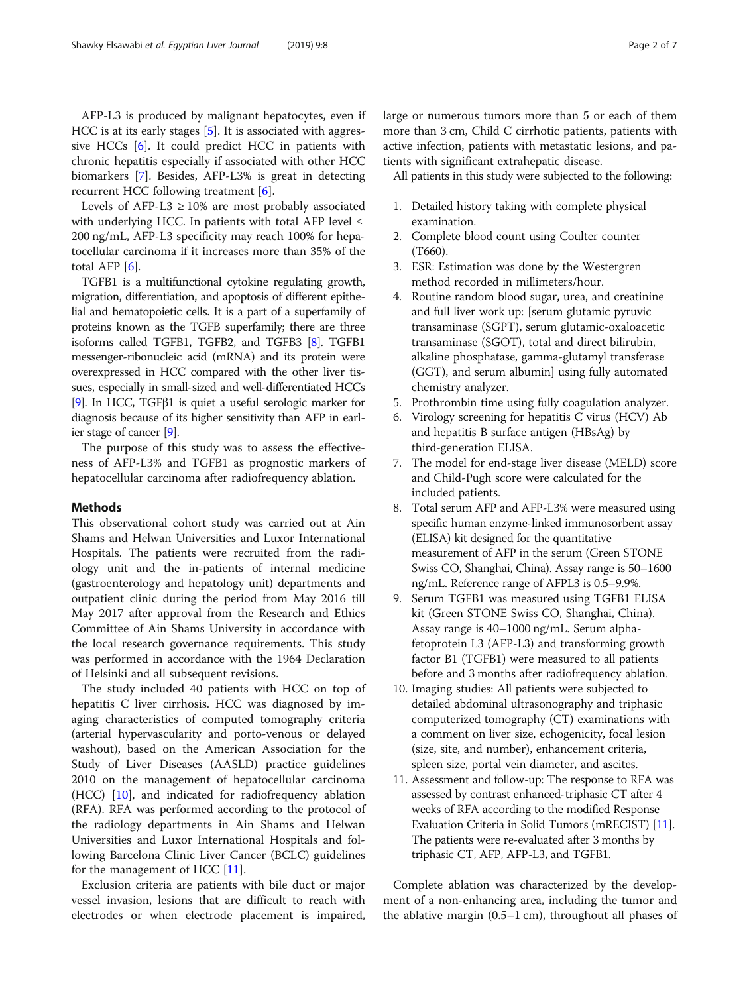AFP-L3 is produced by malignant hepatocytes, even if HCC is at its early stages [[5\]](#page-5-0). It is associated with aggressive HCCs [[6](#page-5-0)]. It could predict HCC in patients with chronic hepatitis especially if associated with other HCC biomarkers [\[7](#page-5-0)]. Besides, AFP-L3% is great in detecting recurrent HCC following treatment [\[6](#page-5-0)].

Levels of AFP-L3  $\geq$  10% are most probably associated with underlying HCC. In patients with total AFP level  $\leq$ 200 ng/mL, AFP-L3 specificity may reach 100% for hepatocellular carcinoma if it increases more than 35% of the total AFP [[6\]](#page-5-0).

TGFB1 is a multifunctional cytokine regulating growth, migration, differentiation, and apoptosis of different epithelial and hematopoietic cells. It is a part of a superfamily of proteins known as the TGFB superfamily; there are three isoforms called TGFB1, TGFB2, and TGFB3 [\[8](#page-5-0)]. TGFB1 messenger-ribonucleic acid (mRNA) and its protein were overexpressed in HCC compared with the other liver tissues, especially in small-sized and well-differentiated HCCs [[9](#page-5-0)]. In HCC, TGFβ1 is quiet a useful serologic marker for diagnosis because of its higher sensitivity than AFP in earlier stage of cancer [\[9\]](#page-5-0).

The purpose of this study was to assess the effectiveness of AFP-L3% and TGFB1 as prognostic markers of hepatocellular carcinoma after radiofrequency ablation.

### Methods

This observational cohort study was carried out at Ain Shams and Helwan Universities and Luxor International Hospitals. The patients were recruited from the radiology unit and the in-patients of internal medicine (gastroenterology and hepatology unit) departments and outpatient clinic during the period from May 2016 till May 2017 after approval from the Research and Ethics Committee of Ain Shams University in accordance with the local research governance requirements. This study was performed in accordance with the 1964 Declaration of Helsinki and all subsequent revisions.

The study included 40 patients with HCC on top of hepatitis C liver cirrhosis. HCC was diagnosed by imaging characteristics of computed tomography criteria (arterial hypervascularity and porto-venous or delayed washout), based on the American Association for the Study of Liver Diseases (AASLD) practice guidelines 2010 on the management of hepatocellular carcinoma (HCC) [\[10\]](#page-5-0), and indicated for radiofrequency ablation (RFA). RFA was performed according to the protocol of the radiology departments in Ain Shams and Helwan Universities and Luxor International Hospitals and following Barcelona Clinic Liver Cancer (BCLC) guidelines for the management of HCC [[11](#page-5-0)].

Exclusion criteria are patients with bile duct or major vessel invasion, lesions that are difficult to reach with electrodes or when electrode placement is impaired, large or numerous tumors more than 5 or each of them more than 3 cm, Child C cirrhotic patients, patients with active infection, patients with metastatic lesions, and patients with significant extrahepatic disease.

All patients in this study were subjected to the following:

- 1. Detailed history taking with complete physical examination.
- 2. Complete blood count using Coulter counter (T660).
- 3. ESR: Estimation was done by the Westergren method recorded in millimeters/hour.
- 4. Routine random blood sugar, urea, and creatinine and full liver work up: [serum glutamic pyruvic transaminase (SGPT), serum glutamic-oxaloacetic transaminase (SGOT), total and direct bilirubin, alkaline phosphatase, gamma-glutamyl transferase (GGT), and serum albumin] using fully automated chemistry analyzer.
- 5. Prothrombin time using fully coagulation analyzer.
- 6. Virology screening for hepatitis C virus (HCV) Ab and hepatitis B surface antigen (HBsAg) by third-generation ELISA.
- 7. The model for end-stage liver disease (MELD) score and Child-Pugh score were calculated for the included patients.
- 8. Total serum AFP and AFP-L3% were measured using specific human enzyme-linked immunosorbent assay (ELISA) kit designed for the quantitative measurement of AFP in the serum (Green STONE Swiss CO, Shanghai, China). Assay range is 50–1600 ng/mL. Reference range of AFPL3 is 0.5–9.9%.
- 9. Serum TGFB1 was measured using TGFB1 ELISA kit (Green STONE Swiss CO, Shanghai, China). Assay range is 40–1000 ng/mL. Serum alphafetoprotein L3 (AFP-L3) and transforming growth factor B1 (TGFB1) were measured to all patients before and 3 months after radiofrequency ablation.
- 10. Imaging studies: All patients were subjected to detailed abdominal ultrasonography and triphasic computerized tomography (CT) examinations with a comment on liver size, echogenicity, focal lesion (size, site, and number), enhancement criteria, spleen size, portal vein diameter, and ascites.
- 11. Assessment and follow-up: The response to RFA was assessed by contrast enhanced-triphasic CT after 4 weeks of RFA according to the modified Response Evaluation Criteria in Solid Tumors (mRECIST) [\[11\]](#page-5-0). The patients were re-evaluated after 3 months by triphasic CT, AFP, AFP-L3, and TGFB1.

Complete ablation was characterized by the development of a non-enhancing area, including the tumor and the ablative margin (0.5–1 cm), throughout all phases of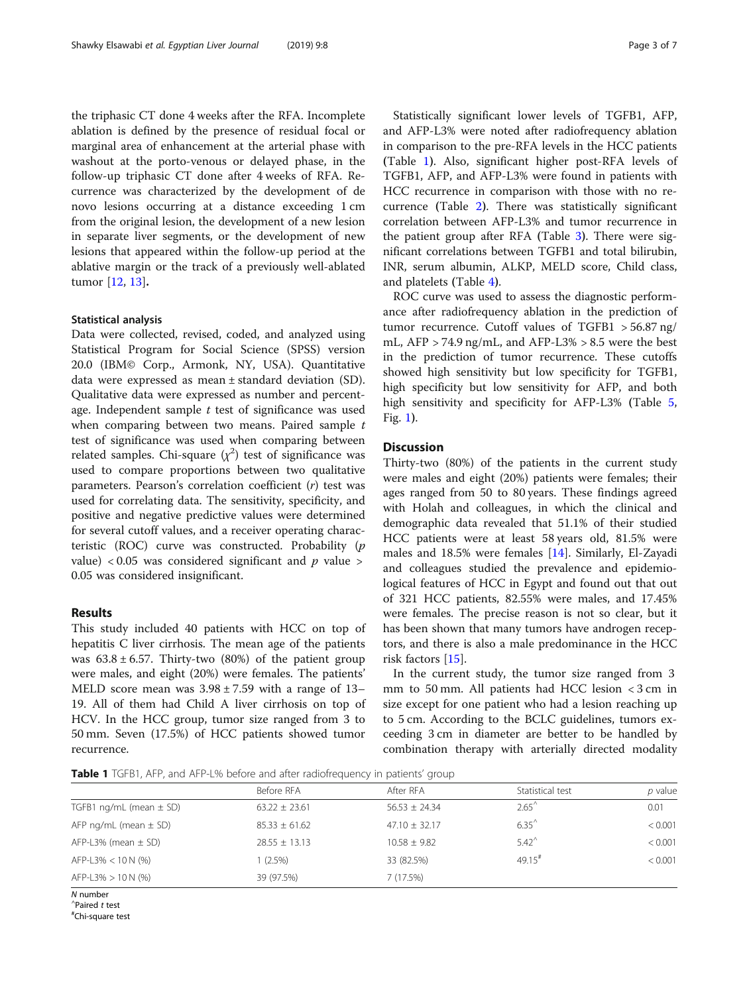the triphasic CT done 4 weeks after the RFA. Incomplete ablation is defined by the presence of residual focal or marginal area of enhancement at the arterial phase with washout at the porto-venous or delayed phase, in the follow-up triphasic CT done after 4 weeks of RFA. Recurrence was characterized by the development of de novo lesions occurring at a distance exceeding 1 cm from the original lesion, the development of a new lesion in separate liver segments, or the development of new lesions that appeared within the follow-up period at the ablative margin or the track of a previously well-ablated tumor [\[12](#page-5-0), [13\]](#page-5-0).

#### Statistical analysis

Data were collected, revised, coded, and analyzed using Statistical Program for Social Science (SPSS) version 20.0 (IBM© Corp., Armonk, NY, USA). Quantitative data were expressed as mean ± standard deviation (SD). Qualitative data were expressed as number and percentage. Independent sample  $t$  test of significance was used when comparing between two means. Paired sample  $t$ test of significance was used when comparing between related samples. Chi-square  $(\chi^2)$  test of significance was used to compare proportions between two qualitative parameters. Pearson's correlation coefficient  $(r)$  test was used for correlating data. The sensitivity, specificity, and positive and negative predictive values were determined for several cutoff values, and a receiver operating characteristic (ROC) curve was constructed. Probability (p value) < 0.05 was considered significant and  $p$  value > 0.05 was considered insignificant.

#### Results

This study included 40 patients with HCC on top of hepatitis C liver cirrhosis. The mean age of the patients was  $63.8 \pm 6.57$ . Thirty-two (80%) of the patient group were males, and eight (20%) were females. The patients' MELD score mean was  $3.98 \pm 7.59$  with a range of 13– 19. All of them had Child A liver cirrhosis on top of HCV. In the HCC group, tumor size ranged from 3 to 50 mm. Seven (17.5%) of HCC patients showed tumor recurrence.

Statistically significant lower levels of TGFB1, AFP, and AFP-L3% were noted after radiofrequency ablation in comparison to the pre-RFA levels in the HCC patients (Table 1). Also, significant higher post-RFA levels of TGFB1, AFP, and AFP-L3% were found in patients with HCC recurrence in comparison with those with no recurrence (Table [2](#page-3-0)). There was statistically significant correlation between AFP-L3% and tumor recurrence in the patient group after RFA (Table [3](#page-3-0)). There were significant correlations between TGFB1 and total bilirubin, INR, serum albumin, ALKP, MELD score, Child class, and platelets (Table [4](#page-3-0)).

ROC curve was used to assess the diagnostic performance after radiofrequency ablation in the prediction of tumor recurrence. Cutoff values of TGFB1 > 56.87 ng/ mL, AFP > 74.9 ng/mL, and AFP-L3% > 8.5 were the best in the prediction of tumor recurrence. These cutoffs showed high sensitivity but low specificity for TGFB1, high specificity but low sensitivity for AFP, and both high sensitivity and specificity for AFP-L3% (Table [5](#page-3-0), Fig. [1](#page-4-0)).

### **Discussion**

Thirty-two (80%) of the patients in the current study were males and eight (20%) patients were females; their ages ranged from 50 to 80 years. These findings agreed with Holah and colleagues, in which the clinical and demographic data revealed that 51.1% of their studied HCC patients were at least 58 years old, 81.5% were males and 18.5% were females [[14\]](#page-5-0). Similarly, El-Zayadi and colleagues studied the prevalence and epidemiological features of HCC in Egypt and found out that out of 321 HCC patients, 82.55% were males, and 17.45% were females. The precise reason is not so clear, but it has been shown that many tumors have androgen receptors, and there is also a male predominance in the HCC risk factors [\[15\]](#page-5-0).

In the current study, the tumor size ranged from 3 mm to 50 mm. All patients had HCC lesion < 3 cm in size except for one patient who had a lesion reaching up to 5 cm. According to the BCLC guidelines, tumors exceeding 3 cm in diameter are better to be handled by combination therapy with arterially directed modality

Table 1 TGFB1, AFP, and AFP-L% before and after radiofrequency in patients' group

|                             | Before RFA        | After RFA         | Statistical test     | p value |
|-----------------------------|-------------------|-------------------|----------------------|---------|
| TGFB1 ng/mL (mean $\pm$ SD) | $63.22 \pm 23.61$ | $56.53 + 24.34$   | $2.65^{\circ}$       | 0.01    |
| AFP $nq/mL$ (mean $\pm$ SD) | $85.33 \pm 61.62$ | $47.10 \pm 32.17$ | $6.35^{\circ}$       | < 0.001 |
| $AFP-L3%$ (mean $\pm$ SD)   | $28.55 \pm 13.13$ | $10.58 \pm 9.82$  | $5.42^{\circ}$       | < 0.001 |
| AFP-L3% $<$ 10 N (%)        | 1 (2.5%)          | 33 (82.5%)        | $49.15$ <sup>#</sup> | < 0.001 |
| $AFP-L3\% > 10 N$ (%)       | 39 (97.5%)        | 7(17.5%)          |                      |         |
| N number                    |                   |                   |                      |         |

 $'$ Paired  $t$  test

Chi-square test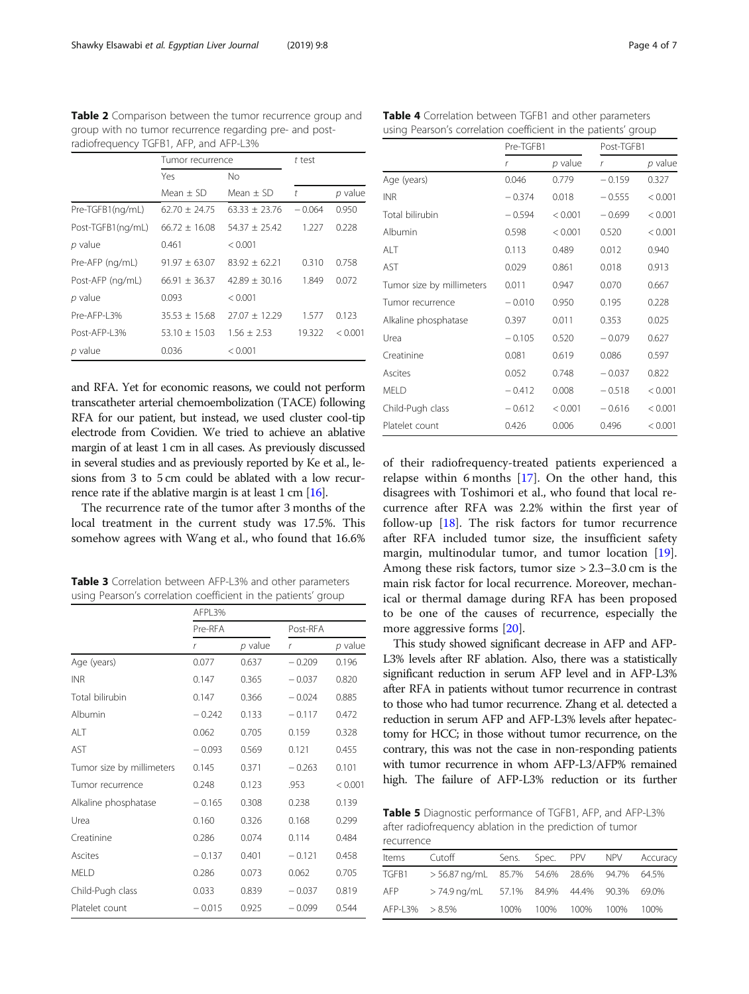<span id="page-3-0"></span>Table 2 Comparison between the tumor recurrence group and group with no tumor recurrence regarding pre- and postradiofrequency TGFB1, AFP, and AFP-L3%

|                   | Tumor recurrence  |                   | t test   |         |
|-------------------|-------------------|-------------------|----------|---------|
|                   | Yes               | No.               |          |         |
|                   | $Mean + SD$       | Mean $+$ SD       | t        | p value |
| Pre-TGFB1(ng/mL)  | $62.70 \pm 24.75$ | $63.33 \pm 23.76$ | $-0.064$ | 0.950   |
| Post-TGFB1(ng/mL) | $66.72 \pm 16.08$ | $54.37 \pm 25.42$ | 1.227    | 0.228   |
| p value           | 0.461             | < 0.001           |          |         |
| Pre-AFP (ng/mL)   | $91.97 \pm 63.07$ | $83.92 + 62.21$   | 0.310    | 0.758   |
| Post-AFP (ng/mL)  | $66.91 + 36.37$   | $42.89 + 30.16$   | 1.849    | 0.072   |
| p value           | 0.093             | < 0.001           |          |         |
| Pre-AFP-I 3%      | $35.53 + 15.68$   | $27.07 + 12.29$   | 1.577    | 0.123   |
| Post-AFP-L3%      | $53.10 \pm 15.03$ | $1.56 \pm 2.53$   | 19.322   | < 0.001 |
| p value           | 0.036             | < 0.001           |          |         |

and RFA. Yet for economic reasons, we could not perform transcatheter arterial chemoembolization (TACE) following RFA for our patient, but instead, we used cluster cool-tip electrode from Covidien. We tried to achieve an ablative margin of at least 1 cm in all cases. As previously discussed in several studies and as previously reported by Ke et al., lesions from 3 to 5 cm could be ablated with a low recurrence rate if the ablative margin is at least 1 cm [\[16\]](#page-5-0).

The recurrence rate of the tumor after 3 months of the local treatment in the current study was 17.5%. This somehow agrees with Wang et al., who found that 16.6%

Table 3 Correlation between AFP-L3% and other parameters using Pearson's correlation coefficient in the patients' group

|                           | AFPL3%   |           |          |           |
|---------------------------|----------|-----------|----------|-----------|
|                           | Pre-RFA  |           | Post-RFA |           |
|                           | r        | $p$ value | r        | $p$ value |
| Age (years)               | 0.077    | 0.637     | $-0.209$ | 0.196     |
| <b>INR</b>                | 0.147    | 0.365     | $-0.037$ | 0.820     |
| Total bilirubin           | 0.147    | 0.366     | $-0.024$ | 0.885     |
| Albumin                   | $-0.242$ | 0.133     | $-0.117$ | 0.472     |
| AI T                      | 0.062    | 0.705     | 0.159    | 0.328     |
| AST                       | $-0.093$ | 0.569     | 0.121    | 0.455     |
| Tumor size by millimeters | 0.145    | 0.371     | $-0.263$ | 0.101     |
| Tumor recurrence          | 0.248    | 0.123     | .953     | < 0.001   |
| Alkaline phosphatase      | $-0.165$ | 0.308     | 0.238    | 0.139     |
| Urea                      | 0.160    | 0.326     | 0.168    | 0.299     |
| Creatinine                | 0.286    | 0.074     | 0.114    | 0.484     |
| Ascites                   | $-0.137$ | 0.401     | $-0.121$ | 0.458     |
| <b>MELD</b>               | 0.286    | 0.073     | 0.062    | 0.705     |
| Child-Pugh class          | 0.033    | 0.839     | $-0.037$ | 0.819     |
| Platelet count            | $-0.015$ | 0.925     | $-0.099$ | 0.544     |

Table 4 Correlation between TGFB1 and other parameters using Pearson's correlation coefficient in the patients' group

|                           | Pre-TGFB1 |           | Post-TGFB1   |           |
|---------------------------|-----------|-----------|--------------|-----------|
|                           | r         | $p$ value | $\mathsf{r}$ | $p$ value |
| Age (years)               | 0.046     | 0.779     | $-0.159$     | 0.327     |
| <b>INR</b>                | $-0.374$  | 0.018     | $-0.555$     | < 0.001   |
| Total bilirubin           | $-0.594$  | < 0.001   | $-0.699$     | < 0.001   |
| Albumin                   | 0.598     | < 0.001   | 0.520        | < 0.001   |
| ALT                       | 0.113     | 0.489     | 0.012        | 0.940     |
| AST                       | 0.029     | 0.861     | 0.018        | 0.913     |
| Tumor size by millimeters | 0.011     | 0.947     | 0.070        | 0.667     |
| Tumor recurrence          | $-0.010$  | 0.950     | 0.195        | 0.228     |
| Alkaline phosphatase      | 0.397     | 0.011     | 0.353        | 0.025     |
| Urea                      | $-0.105$  | 0.520     | $-0.079$     | 0.627     |
| Creatinine                | 0.081     | 0.619     | 0.086        | 0.597     |
| Ascites                   | 0.052     | 0.748     | $-0.037$     | 0.822     |
| MELD                      | $-0.412$  | 0.008     | $-0.518$     | < 0.001   |
| Child-Pugh class          | $-0.612$  | < 0.001   | $-0.616$     | < 0.001   |
| Platelet count            | 0.426     | 0.006     | 0.496        | < 0.001   |

of their radiofrequency-treated patients experienced a relapse within 6 months [\[17](#page-5-0)]. On the other hand, this disagrees with Toshimori et al., who found that local recurrence after RFA was 2.2% within the first year of follow-up [\[18](#page-5-0)]. The risk factors for tumor recurrence after RFA included tumor size, the insufficient safety margin, multinodular tumor, and tumor location [\[19](#page-5-0)]. Among these risk factors, tumor size > 2.3–3.0 cm is the main risk factor for local recurrence. Moreover, mechanical or thermal damage during RFA has been proposed to be one of the causes of recurrence, especially the more aggressive forms [[20](#page-6-0)].

This study showed significant decrease in AFP and AFP-L3% levels after RF ablation. Also, there was a statistically significant reduction in serum AFP level and in AFP-L3% after RFA in patients without tumor recurrence in contrast to those who had tumor recurrence. Zhang et al. detected a reduction in serum AFP and AFP-L3% levels after hepatectomy for HCC; in those without tumor recurrence, on the contrary, this was not the case in non-responding patients with tumor recurrence in whom AFP-L3/AFP% remained high. The failure of AFP-L3% reduction or its further

Table 5 Diagnostic performance of TGFB1, AFP, and AFP-L3% after radiofrequency ablation in the prediction of tumor recurrence

| .              |                                             |       |  |                |  |          |
|----------------|---------------------------------------------|-------|--|----------------|--|----------|
| <b>Items</b>   | Cutoff                                      | Sens. |  | Spec. PPV NPV  |  | Accuracy |
| TGFB1          | > 56.87 ng/mL 85.7% 54.6% 28.6% 94.7% 64.5% |       |  |                |  |          |
| AFP.           | > 74.9 ng/mL 57.1% 84.9% 44.4% 90.3% 69.0%  |       |  |                |  |          |
| AFP-L3% > 8.5% |                                             | 100%  |  | 100% 100% 100% |  | 100%     |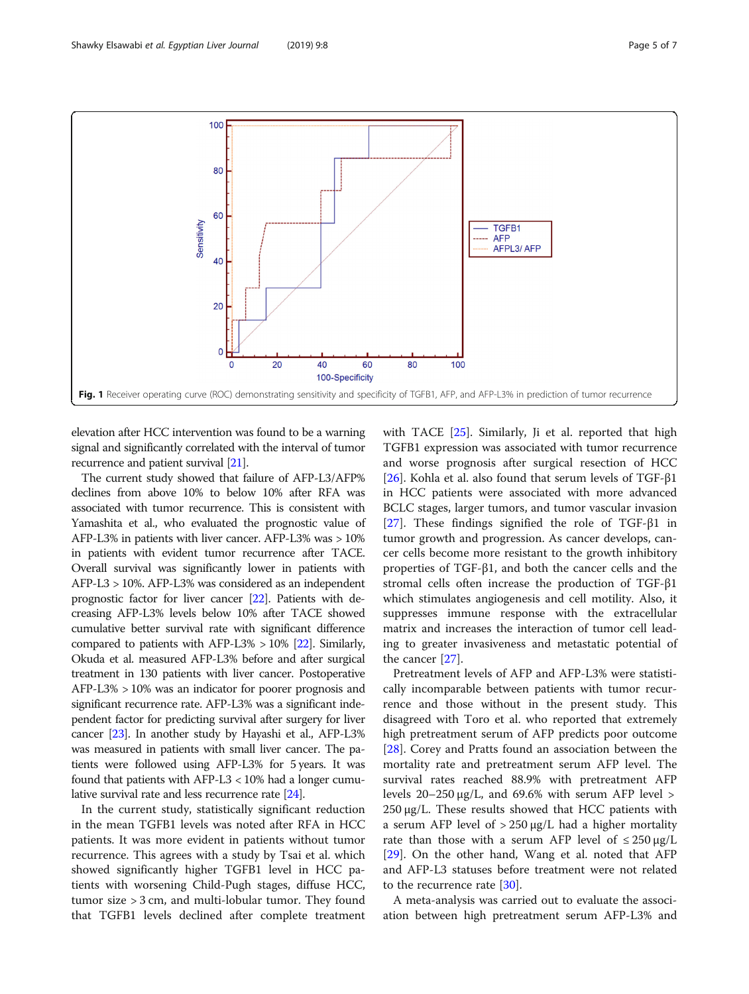<span id="page-4-0"></span>

elevation after HCC intervention was found to be a warning signal and significantly correlated with the interval of tumor recurrence and patient survival [\[21\]](#page-6-0).

The current study showed that failure of AFP-L3/AFP% declines from above 10% to below 10% after RFA was associated with tumor recurrence. This is consistent with Yamashita et al., who evaluated the prognostic value of AFP-L3% in patients with liver cancer. AFP-L3% was > 10% in patients with evident tumor recurrence after TACE. Overall survival was significantly lower in patients with AFP-L3 > 10%. AFP-L3% was considered as an independent prognostic factor for liver cancer [\[22](#page-6-0)]. Patients with decreasing AFP-L3% levels below 10% after TACE showed cumulative better survival rate with significant difference compared to patients with AFP-L3% > 10% [\[22\]](#page-6-0). Similarly, Okuda et al. measured AFP-L3% before and after surgical treatment in 130 patients with liver cancer. Postoperative AFP-L3% > 10% was an indicator for poorer prognosis and significant recurrence rate. AFP-L3% was a significant independent factor for predicting survival after surgery for liver cancer [\[23\]](#page-6-0). In another study by Hayashi et al., AFP-L3% was measured in patients with small liver cancer. The patients were followed using AFP-L3% for 5 years. It was found that patients with AFP-L3 < 10% had a longer cumulative survival rate and less recurrence rate [\[24\]](#page-6-0).

In the current study, statistically significant reduction in the mean TGFB1 levels was noted after RFA in HCC patients. It was more evident in patients without tumor recurrence. This agrees with a study by Tsai et al. which showed significantly higher TGFB1 level in HCC patients with worsening Child-Pugh stages, diffuse HCC, tumor size > 3 cm, and multi-lobular tumor. They found that TGFB1 levels declined after complete treatment with TACE [[25\]](#page-6-0). Similarly, Ji et al. reported that high TGFB1 expression was associated with tumor recurrence and worse prognosis after surgical resection of HCC [ $26$ ]. Kohla et al. also found that serum levels of TGF- $\beta$ 1 in HCC patients were associated with more advanced BCLC stages, larger tumors, and tumor vascular invasion [[27\]](#page-6-0). These findings signified the role of TGF-β1 in tumor growth and progression. As cancer develops, cancer cells become more resistant to the growth inhibitory properties of TGF-β1, and both the cancer cells and the stromal cells often increase the production of TGF-β1 which stimulates angiogenesis and cell motility. Also, it suppresses immune response with the extracellular matrix and increases the interaction of tumor cell leading to greater invasiveness and metastatic potential of the cancer [\[27](#page-6-0)].

Pretreatment levels of AFP and AFP-L3% were statistically incomparable between patients with tumor recurrence and those without in the present study. This disagreed with Toro et al. who reported that extremely high pretreatment serum of AFP predicts poor outcome [[28\]](#page-6-0). Corey and Pratts found an association between the mortality rate and pretreatment serum AFP level. The survival rates reached 88.9% with pretreatment AFP levels  $20-250 \mu g/L$ , and 69.6% with serum AFP level > 250 μg/L. These results showed that HCC patients with a serum AFP level of  $> 250 \mu g/L$  had a higher mortality rate than those with a serum AFP level of  $\leq 250 \,\mu$ g/L [[29\]](#page-6-0). On the other hand, Wang et al. noted that AFP and AFP-L3 statuses before treatment were not related to the recurrence rate [\[30](#page-6-0)].

A meta-analysis was carried out to evaluate the association between high pretreatment serum AFP-L3% and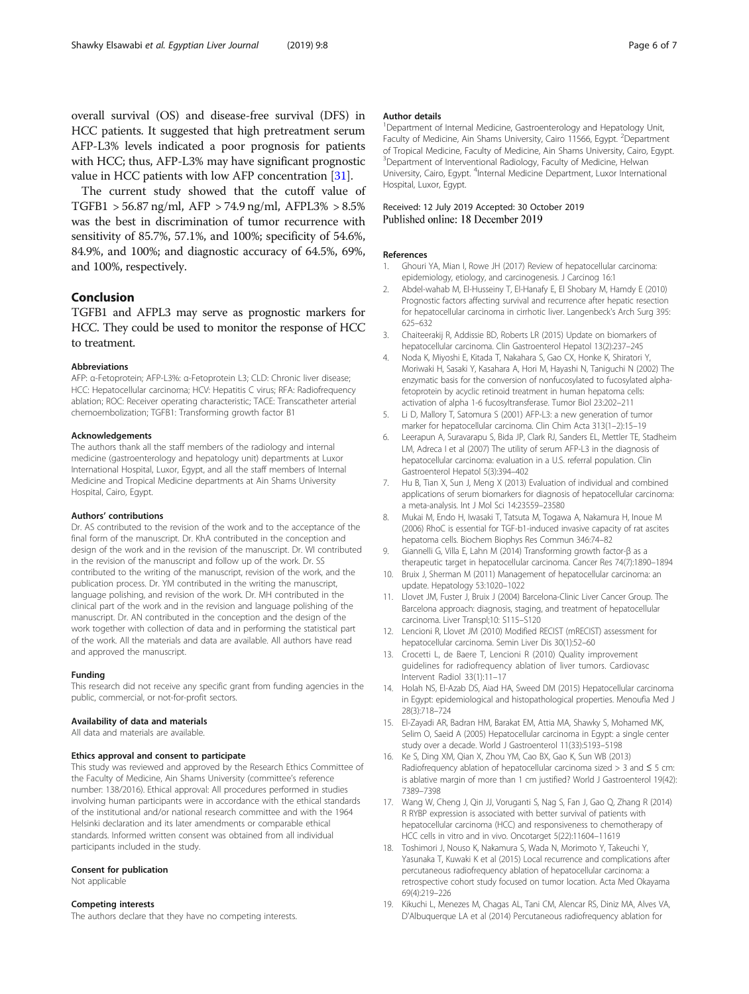<span id="page-5-0"></span>overall survival (OS) and disease-free survival (DFS) in HCC patients. It suggested that high pretreatment serum AFP-L3% levels indicated a poor prognosis for patients with HCC; thus, AFP-L3% may have significant prognostic value in HCC patients with low AFP concentration [\[31\]](#page-6-0).

The current study showed that the cutoff value of TGFB1 > 56.87 ng/ml, AFP > 74.9 ng/ml, AFPL3% > 8.5% was the best in discrimination of tumor recurrence with sensitivity of 85.7%, 57.1%, and 100%; specificity of 54.6%, 84.9%, and 100%; and diagnostic accuracy of 64.5%, 69%, and 100%, respectively.

#### Conclusion

TGFB1 and AFPL3 may serve as prognostic markers for HCC. They could be used to monitor the response of HCC to treatment.

#### Abbreviations

AFP: α-Fetoprotein; AFP-L3%: α-Fetoprotein L3; CLD: Chronic liver disease; HCC: Hepatocellular carcinoma; HCV: Hepatitis C virus; RFA: Radiofrequency ablation; ROC: Receiver operating characteristic; TACE: Transcatheter arterial chemoembolization; TGFB1: Transforming growth factor B1

#### Acknowledgements

The authors thank all the staff members of the radiology and internal medicine (gastroenterology and hepatology unit) departments at Luxor International Hospital, Luxor, Egypt, and all the staff members of Internal Medicine and Tropical Medicine departments at Ain Shams University Hospital, Cairo, Egypt.

#### Authors' contributions

Dr. AS contributed to the revision of the work and to the acceptance of the final form of the manuscript. Dr. KhA contributed in the conception and design of the work and in the revision of the manuscript. Dr. WI contributed in the revision of the manuscript and follow up of the work. Dr. SS contributed to the writing of the manuscript, revision of the work, and the publication process. Dr. YM contributed in the writing the manuscript, language polishing, and revision of the work. Dr. MH contributed in the clinical part of the work and in the revision and language polishing of the manuscript. Dr. AN contributed in the conception and the design of the work together with collection of data and in performing the statistical part of the work. All the materials and data are available. All authors have read and approved the manuscript.

#### Funding

This research did not receive any specific grant from funding agencies in the public, commercial, or not-for-profit sectors.

#### Availability of data and materials

All data and materials are available.

#### Ethics approval and consent to participate

This study was reviewed and approved by the Research Ethics Committee of the Faculty of Medicine, Ain Shams University (committee's reference number: 138/2016). Ethical approval: All procedures performed in studies involving human participants were in accordance with the ethical standards of the institutional and/or national research committee and with the 1964 Helsinki declaration and its later amendments or comparable ethical standards. Informed written consent was obtained from all individual participants included in the study.

#### Consent for publication

Not applicable

#### Competing interests

The authors declare that they have no competing interests.

#### Author details

<sup>1</sup>Department of Internal Medicine, Gastroenterology and Hepatology Unit Faculty of Medicine, Ain Shams University, Cairo 11566, Egypt. <sup>2</sup>Department of Tropical Medicine, Faculty of Medicine, Ain Shams University, Cairo, Egypt. <sup>3</sup> Department of Interventional Radiology, Faculty of Medicine, Helwan University, Cairo, Egypt. <sup>4</sup>Internal Medicine Department, Luxor International Hospital, Luxor, Egypt.

#### Received: 12 July 2019 Accepted: 30 October 2019 Published online: 18 December 2019

#### References

- 1. Ghouri YA, Mian I, Rowe JH (2017) Review of hepatocellular carcinoma: epidemiology, etiology, and carcinogenesis. J Carcinog 16:1
- 2. Abdel-wahab M, El-Husseiny T, El-Hanafy E, El Shobary M, Hamdy E (2010) Prognostic factors affecting survival and recurrence after hepatic resection for hepatocellular carcinoma in cirrhotic liver. Langenbeck's Arch Surg 395: 625–632
- 3. Chaiteerakij R, Addissie BD, Roberts LR (2015) Update on biomarkers of hepatocellular carcinoma. Clin Gastroenterol Hepatol 13(2):237–245
- 4. Noda K, Miyoshi E, Kitada T, Nakahara S, Gao CX, Honke K, Shiratori Y, Moriwaki H, Sasaki Y, Kasahara A, Hori M, Hayashi N, Taniguchi N (2002) The enzymatic basis for the conversion of nonfucosylated to fucosylated alphafetoprotein by acyclic retinoid treatment in human hepatoma cells: activation of alpha 1-6 fucosyltransferase. Tumor Biol 23:202–211
- 5. Li D, Mallory T, Satomura S (2001) AFP-L3: a new generation of tumor marker for hepatocellular carcinoma. Clin Chim Acta 313(1–2):15–19
- 6. Leerapun A, Suravarapu S, Bida JP, Clark RJ, Sanders EL, Mettler TE, Stadheim LM, Adreca I et al (2007) The utility of serum AFP-L3 in the diagnosis of hepatocellular carcinoma: evaluation in a U.S. referral population. Clin Gastroenterol Hepatol 5(3):394–402
- 7. Hu B, Tian X, Sun J, Meng X (2013) Evaluation of individual and combined applications of serum biomarkers for diagnosis of hepatocellular carcinoma: a meta-analysis. Int J Mol Sci 14:23559–23580
- 8. Mukai M, Endo H, Iwasaki T, Tatsuta M, Togawa A, Nakamura H, Inoue M (2006) RhoC is essential for TGF-b1-induced invasive capacity of rat ascites hepatoma cells. Biochem Biophys Res Commun 346:74–82
- 9. Giannelli G, Villa E, Lahn M (2014) Transforming growth factor-β as a therapeutic target in hepatocellular carcinoma. Cancer Res 74(7):1890–1894
- 10. Bruix J, Sherman M (2011) Management of hepatocellular carcinoma: an update. Hepatology 53:1020–1022
- 11. Llovet JM, Fuster J, Bruix J (2004) Barcelona-Clinic Liver Cancer Group. The Barcelona approach: diagnosis, staging, and treatment of hepatocellular carcinoma. Liver Transpl;10: S115–S120
- 12. Lencioni R, Llovet JM (2010) Modified RECIST (mRECIST) assessment for hepatocellular carcinoma. Semin Liver Dis 30(1):52–60
- 13. Crocetti L, de Baere T, Lencioni R (2010) Quality improvement guidelines for radiofrequency ablation of liver tumors. Cardiovasc Intervent Radiol 33(1):11–17
- 14. Holah NS, El-Azab DS, Aiad HA, Sweed DM (2015) Hepatocellular carcinoma in Egypt: epidemiological and histopathological properties. Menoufia Med J 28(3):718–724
- 15. El-Zayadi AR, Badran HM, Barakat EM, Attia MA, Shawky S, Mohamed MK, Selim O, Saeid A (2005) Hepatocellular carcinoma in Egypt: a single center study over a decade. World J Gastroenterol 11(33):5193–5198
- 16. Ke S, Ding XM, Qian X, Zhou YM, Cao BX, Gao K, Sun WB (2013) Radiofrequency ablation of hepatocellular carcinoma sized  $> 3$  and  $\leq 5$  cm: is ablative margin of more than 1 cm justified? World J Gastroenterol 19(42): 7389–7398
- 17. Wang W, Cheng J, Qin JJ, Voruganti S, Nag S, Fan J, Gao Q, Zhang R (2014) R RYBP expression is associated with better survival of patients with hepatocellular carcinoma (HCC) and responsiveness to chemotherapy of HCC cells in vitro and in vivo. Oncotarget 5(22):11604–11619
- 18. Toshimori J, Nouso K, Nakamura S, Wada N, Morimoto Y, Takeuchi Y, Yasunaka T, Kuwaki K et al (2015) Local recurrence and complications after percutaneous radiofrequency ablation of hepatocellular carcinoma: a retrospective cohort study focused on tumor location. Acta Med Okayama 69(4):219–226
- 19. Kikuchi L, Menezes M, Chagas AL, Tani CM, Alencar RS, Diniz MA, Alves VA, D'Albuquerque LA et al (2014) Percutaneous radiofrequency ablation for